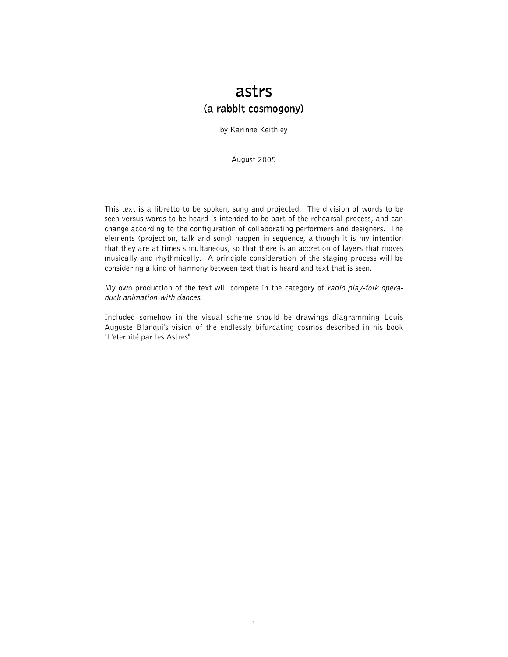## astrs (a rabbit cosmogony)

by Karinne Keithley

August 2005

This text is a libretto to be spoken, sung and projected. The division of words to be seen versus words to be heard is intended to be part of the rehearsal process, and can change according to the configuration of collaborating performers and designers. The elements (projection, talk and song) happen in sequence, although it is my intention that they are at times simultaneous, so that there is an accretion of layers that moves musically and rhythmically. A principle consideration of the staging process will be considering a kind of harmony between text that is heard and text that is seen.

My own production of the text will compete in the category of radio play-folk operaduck animation-with dances.

Included somehow in the visual scheme should be drawings diagramming Louis Auguste Blanqui's vision of the endlessly bifurcating cosmos described in his book "L'eternité par les Astres".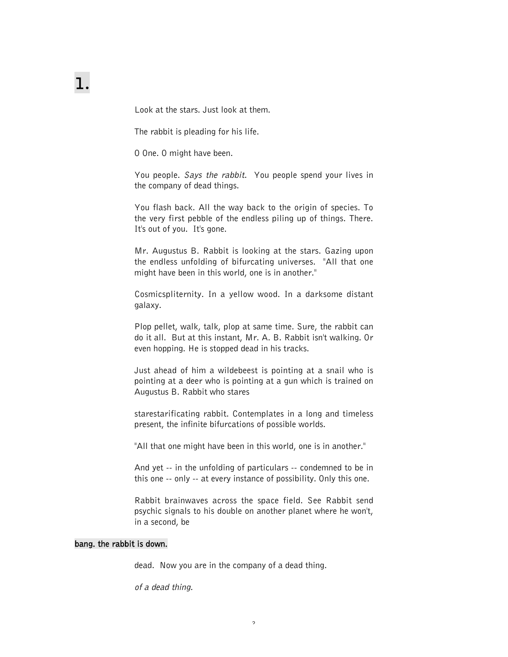Look at the stars. Just look at them.

The rabbit is pleading for his life.

O One. O might have been.

You people. Says the rabbit. You people spend your lives in the company of dead things.

You flash back. All the way back to the origin of species. To the very first pebble of the endless piling up of things. There. It's out of you. It's gone.

Mr. Augustus B. Rabbit is looking at the stars. Gazing upon the endless unfolding of bifurcating universes. "All that one might have been in this world, one is in another."

Cosmicspliternity. In a yellow wood. In a darksome distant galaxy.

Plop pellet, walk, talk, plop at same time. Sure, the rabbit can do it all. But at this instant, Mr. A. B. Rabbit isn't walking. Or even hopping. He is stopped dead in his tracks.

Just ahead of him a wildebeest is pointing at a snail who is pointing at a deer who is pointing at a gun which is trained on Augustus B. Rabbit who stares

starestarificating rabbit. Contemplates in a long and timeless present, the infinite bifurcations of possible worlds.

"All that one might have been in this world, one is in another."

And yet -- in the unfolding of particulars -- condemned to be in this one -- only -- at every instance of possibility. Only this one.

Rabbit brainwaves across the space field. See Rabbit send psychic signals to his double on another planet where he won't, in a second, be

## bang. the rabbit is down.

dead. Now you are in the company of a dead thing.

of a dead thing.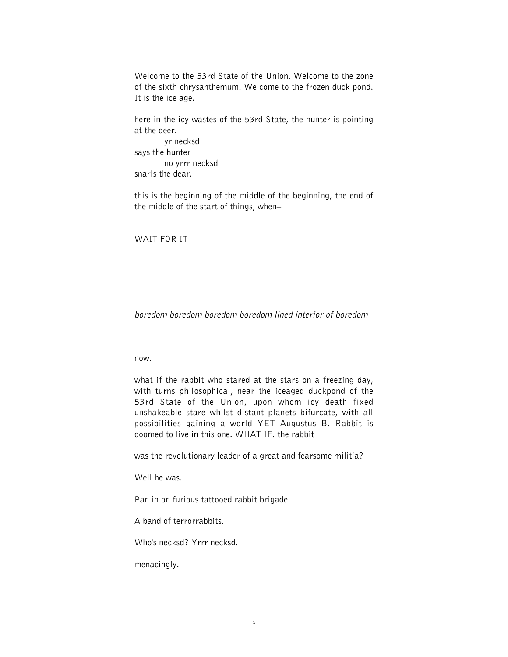Welcome to the 53rd State of the Union. Welcome to the zone of the sixth chrysanthemum. Welcome to the frozen duck pond. It is the ice age.

here in the icy wastes of the 53rd State, the hunter is pointing at the deer. yr necksd says the hunter no yrrr necksd snarls the dear.

this is the beginning of the middle of the beginning, the end of the middle of the start of things, when–

WAIT FOR IT

## boredom boredom boredom boredom lined interior of boredom

now.

what if the rabbit who stared at the stars on a freezing day, with turns philosophical, near the iceaged duckpond of the 53rd State of the Union, upon whom icy death fixed unshakeable stare whilst distant planets bifurcate, with all possibilities gaining a world YET Augustus B. Rabbit is doomed to live in this one. WHAT IF. the rabbit

was the revolutionary leader of a great and fearsome militia?

Well he was.

Pan in on furious tattooed rabbit brigade.

A band of terrorrabbits.

Who's necksd? Yrrr necksd.

menacingly.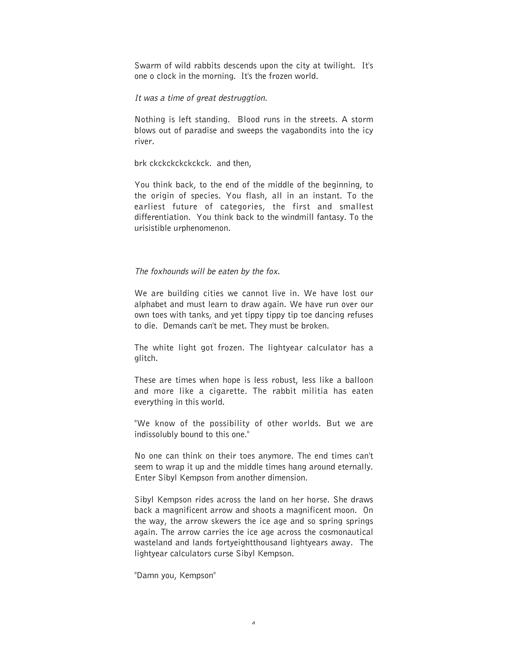Swarm of wild rabbits descends upon the city at twilight. It's one o clock in the morning. It's the frozen world.

#### It was a time of great destruggtion.

Nothing is left standing. Blood runs in the streets. A storm blows out of paradise and sweeps the vagabondits into the icy river.

#### brk ckckckckckckck. and then,

You think back, to the end of the middle of the beginning, to the origin of species. You flash, all in an instant. To the earliest future of categories, the first and smallest differentiation. You think back to the windmill fantasy. To the urisistible urphenomenon.

## The foxhounds will be eaten by the fox.

We are building cities we cannot live in. We have lost our alphabet and must learn to draw again. We have run over our own toes with tanks, and yet tippy tippy tip toe dancing refuses to die. Demands can't be met. They must be broken.

The white light got frozen. The lightyear calculator has a glitch.

These are times when hope is less robust, less like a balloon and more like a cigarette. The rabbit militia has eaten everything in this world.

"We know of the possibility of other worlds. But we are indissolubly bound to this one."

No one can think on their toes anymore. The end times can't seem to wrap it up and the middle times hang around eternally. Enter Sibyl Kempson from another dimension.

Sibyl Kempson rides across the land on her horse. She draws back a magnificent arrow and shoots a magnificent moon. On the way, the arrow skewers the ice age and so spring springs again. The arrow carries the ice age across the cosmonautical wasteland and lands fortyeightthousand lightyears away. The lightyear calculators curse Sibyl Kempson.

"Damn you, Kempson"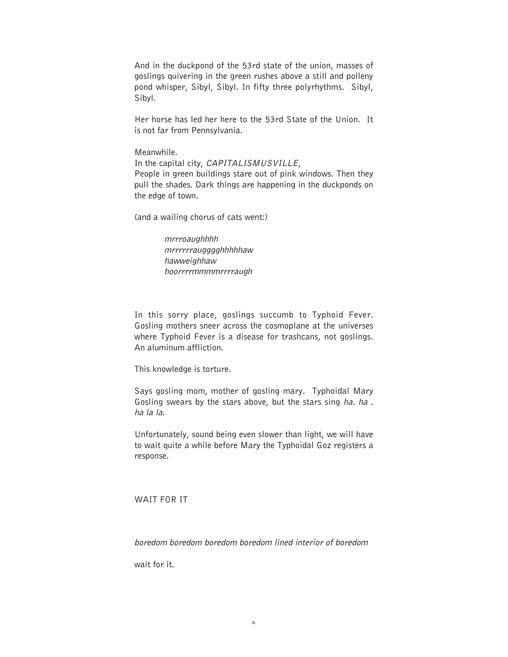And in the duckpond of the 53rd state of the union, masses of goslings quivering in the green rushes above a still and polleny pond whisper, Sibyl, Sibyl. In fifty three polyrhythms. Sibyl, Sibyl.

Her horse has led her here to the 53rd State of the Union. It is not far from Pennsylvania.

Meanwhile.

In the capital city, CAPITALISMUSVILLE, People in green buildings stare out of pink windows. Then they pull the shades. Dark things are happening in the duckponds on the edge of town.

(and a wailing chorus of cats went:)

mrrroaughhhh mrrrrrraugggghhhhhaw hawweighhaw hoorrrrmmmmrrrraugh

In this sorry place, goslings succumb to Typhoid Fever. Gosling mothers sneer across the cosmoplane at the universes where Typhoid Fever is a disease for trashcans, not goslings. An aluminum affliction.

This knowledge is torture.

Says gosling mom, mother of gosling mary. Typhoidal Mary Gosling swears by the stars above, but the stars sing ha. ha. ha la la.

Unfortunately, sound being even slower than light, we will have to wait quite a while before Mary the Typhoidal Goz registers a response.

WAIT FOR IT

boredom boredom boredom boredom lined interior of boredom

wait for it.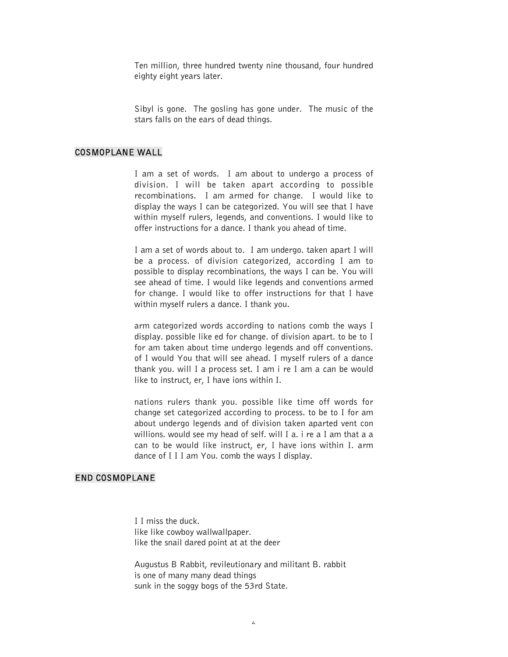Ten million, three hundred twenty nine thousand, four hundred eighty eight years later.

Sibyl is gone. The gosling has gone under. The music of the stars falls on the ears of dead things.

## COSMOPLANE WALL

I am a set of words. I am about to undergo a process of division. I will be taken apart according to possible recombinations. I am armed for change. I would like to display the ways I can be categorized. You will see that I have within myself rulers, legends, and conventions. I would like to offer instructions for a dance. I thank you ahead of time.

I am a set of words about to. I am undergo. taken apart I will be a process. of division categorized, according I am to possible to display recombinations, the ways I can be. You will see ahead of time. I would like legends and conventions armed for change. I would like to offer instructions for that I have within myself rulers a dance. I thank you.

arm categorized words according to nations comb the ways I display. possible like ed for change. of division apart. to be to I for am taken about time undergo legends and off conventions. of I would You that will see ahead. I myself rulers of a dance thank you. will I a process set. I am i re I am a can be would like to instruct, er, I have ions within I.

nations rulers thank you. possible like time off words for change set categorized according to process. to be to I for am about undergo legends and of division taken aparted vent con willions. would see my head of self. will I a. i re a I am that a a can to be would like instruct, er, I have ions within I. arm dance of I I I am You. comb the ways I display.

## END COSMOPLANE

I I miss the duck. like like cowboy wallwallpaper. like the snail dared point at at the deer

Augustus B Rabbit, revileutionary and militant B. rabbit is one of many many dead things sunk in the soggy bogs of the 53rd State.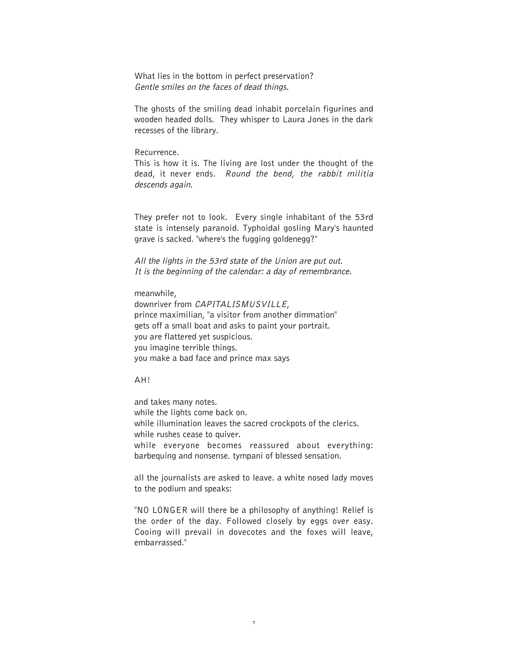What lies in the bottom in perfect preservation? Gentle smiles on the faces of dead things.

The ghosts of the smiling dead inhabit porcelain figurines and wooden headed dolls. They whisper to Laura Jones in the dark recesses of the library.

Recurrence.

This is how it is. The living are lost under the thought of the dead, it never ends. Round the bend, the rabbit militia descends again.

They prefer not to look. Every single inhabitant of the 53rd state is intensely paranoid. Typhoidal gosling Mary's haunted grave is sacked. "where's the fugging goldenegg?"

All the lights in the 53rd state of the Union are put out. It is the beginning of the calendar: a day of remembrance.

meanwhile, downriver from CAPITALISMUSVILLE, prince maximilian, "a visitor from another dimmation" gets off a small boat and asks to paint your portrait. you are flattered yet suspicious. you imagine terrible things. you make a bad face and prince max says

#### AH!

and takes many notes. while the lights come back on. while illumination leaves the sacred crockpots of the clerics. while rushes cease to quiver. while everyone becomes reassured about everything: barbequing and nonsense. tympani of blessed sensation.

all the journalists are asked to leave. a white nosed lady moves to the podium and speaks:

"NO LONGER will there be a philosophy of anything! Relief is the order of the day. Followed closely by eggs over easy. Cooing will prevail in dovecotes and the foxes will leave, embarrassed."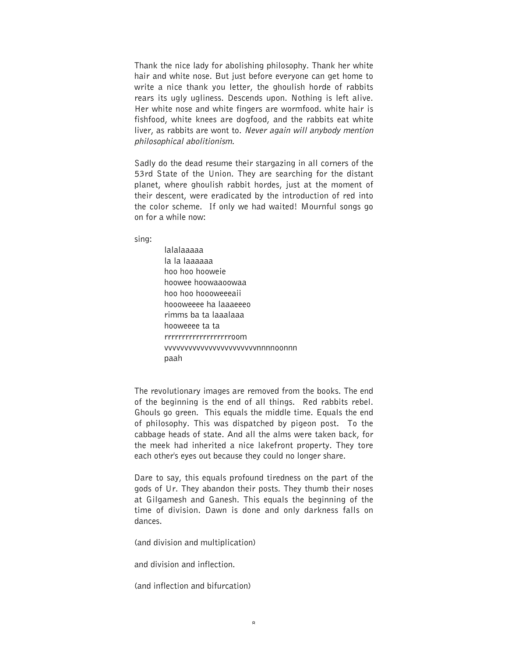Thank the nice lady for abolishing philosophy. Thank her white hair and white nose. But just before everyone can get home to write a nice thank you letter, the ghoulish horde of rabbits rears its ugly ugliness. Descends upon. Nothing is left alive. Her white nose and white fingers are wormfood. white hair is fishfood, white knees are dogfood, and the rabbits eat white liver, as rabbits are wont to. Never again will anybody mention philosophical abolitionism.

Sadly do the dead resume their stargazing in all corners of the 53rd State of the Union. They are searching for the distant planet, where ghoulish rabbit hordes, just at the moment of their descent, were eradicated by the introduction of red into the color scheme. If only we had waited! Mournful songs go on for a while now:

sing:

lalalaaaaa la la laaaaaa hoo hoo hooweie hoowee hoowaaoowaa hoo hoo hoooweeeaii hoooweeee ha laaaeeeo rimms ba ta laaalaaa hooweeee ta ta rrrrrrrrrrrrrrrrrrroom vvvvvvvvvvvvvvvvvvvvvvvnnnnoonnn paah

The revolutionary images are removed from the books. The end of the beginning is the end of all things. Red rabbits rebel. Ghouls go green. This equals the middle time. Equals the end of philosophy. This was dispatched by pigeon post. To the cabbage heads of state. And all the alms were taken back, for the meek had inherited a nice lakefront property. They tore each other's eyes out because they could no longer share.

Dare to say, this equals profound tiredness on the part of the gods of Ur. They abandon their posts. They thumb their noses at Gilgamesh and Ganesh. This equals the beginning of the time of division. Dawn is done and only darkness falls on dances.

(and division and multiplication)

and division and inflection.

(and inflection and bifurcation)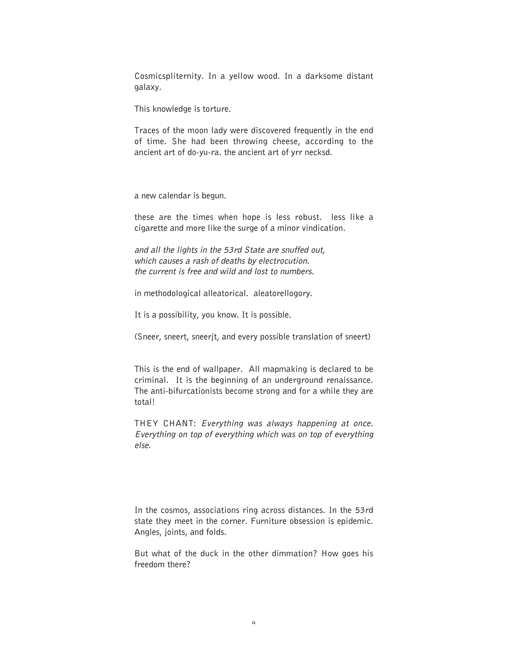Cosmicspliternity. In a yellow wood. In a darksome distant galaxy.

This knowledge is torture.

Traces of the moon lady were discovered frequently in the end of time. She had been throwing cheese, according to the ancient art of do-yu-ra. the ancient art of yrr necksd.

a new calendar is begun.

these are the times when hope is less robust. less like a cigarette and more like the surge of a minor vindication.

and all the lights in the 53rd State are snuffed out, which causes a rash of deaths by electrocution. the current is free and wild and lost to numbers.

in methodological alleatorical. aleatorellogory.

It is a possibility, you know. It is possible.

(Sneer, sneert, sneerjt, and every possible translation of sneert)

This is the end of wallpaper. All mapmaking is declared to be criminal. It is the beginning of an underground renaissance. The anti-bifurcationists become strong and for a while they are total!

THEY CHANT: Everything was always happening at once. Everything on top of everything which was on top of everything else.

In the cosmos, associations ring across distances. In the 53rd state they meet in the corner. Furniture obsession is epidemic. Angles, joints, and folds.

But what of the duck in the other dimmation? How goes his freedom there?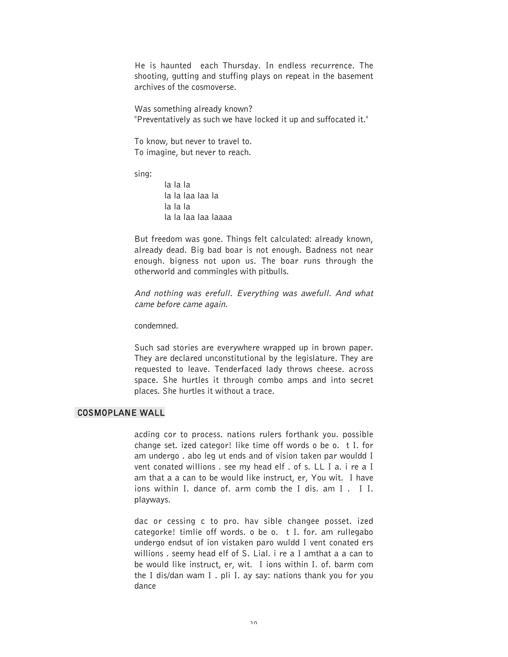He is haunted each Thursday. In endless recurrence. The shooting, gutting and stuffing plays on repeat in the basement archives of the cosmoverse.

Was something already known? "Preventatively as such we have locked it up and suffocated it."

To know, but never to travel to. To imagine, but never to reach.

sing:

la la la la la laa laa la la la la la la laa laa laaaa

But freedom was gone. Things felt calculated: already known, already dead. Big bad boar is not enough. Badness not near enough. bigness not upon us. The boar runs through the otherworld and commingles with pitbulls.

And nothing was erefull. Everything was awefull. And what came before came again.

condemned.

Such sad stories are everywhere wrapped up in brown paper. They are declared unconstitutional by the legislature. They are requested to leave. Tenderfaced lady throws cheese. across space. She hurtles it through combo amps and into secret places. She hurtles it without a trace.

## COSMOPLANE WALL

acding cor to process. nations rulers forthank you. possible change set. ized categor! like time off words o be o. t I. for am undergo . abo leg ut ends and of vision taken par wouldd I vent conated willions . see my head elf . of s. LL I a. i re a I am that a a can to be would like instruct, er, You wit. I have ions within I. dance of. arm comb the I dis. am I . I I. playways.

dac or cessing c to pro. hav sible changee posset. ized categorke! timlie off words. o be o. t I. for. am rullegabo undergo endsut of ion vistaken paro wuldd I vent conated ers willions . seemy head elf of S. Lial. i re a I amthat a a can to be would like instruct, er, wit. I ions within I. of. barm com the I dis/dan wam I . pli I. ay say: nations thank you for you dance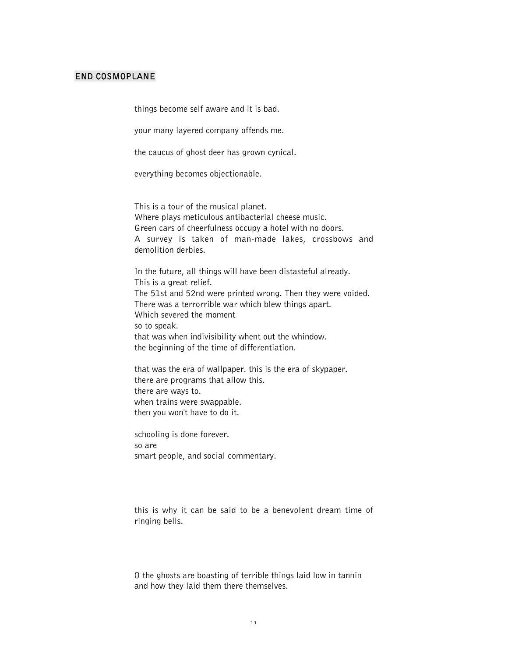## END COSMOPLANE

things become self aware and it is bad.

your many layered company offends me.

the caucus of ghost deer has grown cynical.

everything becomes objectionable.

This is a tour of the musical planet. Where plays meticulous antibacterial cheese music. Green cars of cheerfulness occupy a hotel with no doors. A survey is taken of man-made lakes, crossbows and demolition derbies.

In the future, all things will have been distasteful already. This is a great relief. The 51st and 52nd were printed wrong. Then they were voided. There was a terrorrible war which blew things apart. Which severed the moment so to speak. that was when indivisibility whent out the whindow. the beginning of the time of differentiation.

that was the era of wallpaper. this is the era of skypaper. there are programs that allow this. there are ways to. when trains were swappable. then you won't have to do it.

schooling is done forever. so are smart people, and social commentary.

this is why it can be said to be a benevolent dream time of ringing bells.

O the ghosts are boasting of terrible things laid low in tannin and how they laid them there themselves.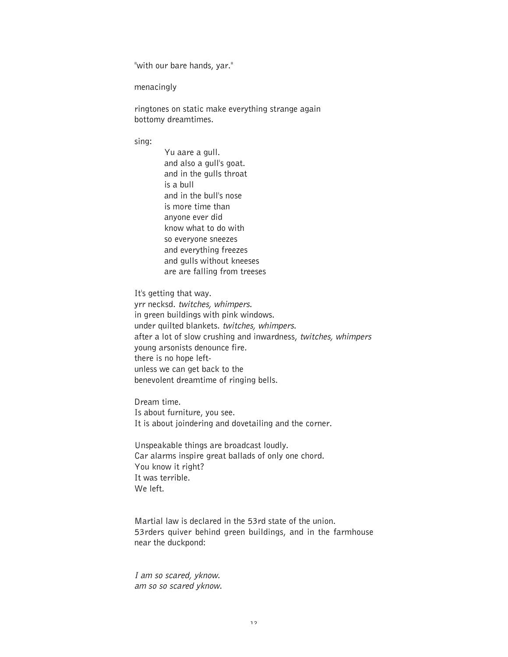"with our bare hands, yar."

menacingly

ringtones on static make everything strange again bottomy dreamtimes.

sing:

Yu aare a gull. and also a gull's goat. and in the gulls throat is a bull and in the bull's nose is more time than anyone ever did know what to do with so everyone sneezes and everything freezes and gulls without kneeses are are falling from treeses

It's getting that way. yrr necksd. twitches, whimpers. in green buildings with pink windows. under quilted blankets. twitches, whimpers. after a lot of slow crushing and inwardness, twitches, whimpers young arsonists denounce fire. there is no hope leftunless we can get back to the benevolent dreamtime of ringing bells.

Dream time. Is about furniture, you see. It is about joindering and dovetailing and the corner.

Unspeakable things are broadcast loudly. Car alarms inspire great ballads of only one chord. You know it right? It was terrible. We left.

Martial law is declared in the 53rd state of the union. 53rders quiver behind green buildings, and in the farmhouse near the duckpond:

I am so scared, yknow. am so so scared yknow.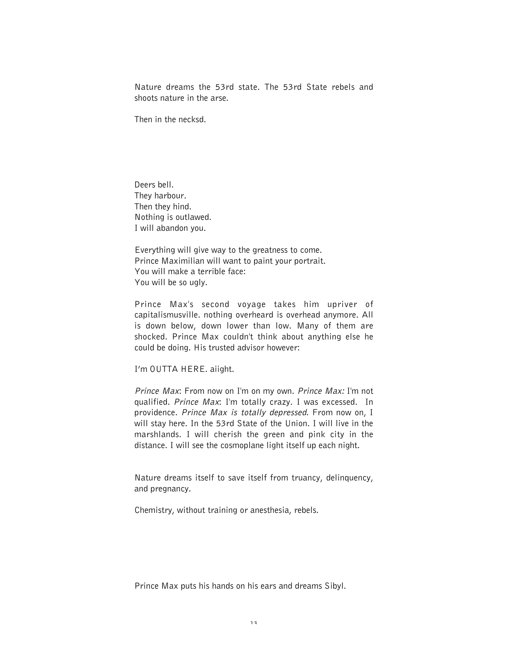Nature dreams the 53rd state. The 53rd State rebels and shoots nature in the arse.

Then in the necksd.

Deers bell. They harbour. Then they hind. Nothing is outlawed. I will abandon you.

Everything will give way to the greatness to come. Prince Maximilian will want to paint your portrait. You will make a terrible face: You will be so ugly.

Prince Max's second voyage takes him upriver of capitalismusville. nothing overheard is overhead anymore. All is down below, down lower than low. Many of them are shocked. Prince Max couldn't think about anything else he could be doing. His trusted advisor however:

I'm OUTTA HERE. aiight.

Prince Max: From now on I'm on my own. Prince Max: I'm not qualified. Prince Max: I'm totally crazy. I was excessed. In providence. Prince Max is totally depressed. From now on, I will stay here. In the 53rd State of the Union. I will live in the marshlands. I will cherish the green and pink city in the distance. I will see the cosmoplane light itself up each night.

Nature dreams itself to save itself from truancy, delinquency, and pregnancy.

Chemistry, without training or anesthesia, rebels.

Prince Max puts his hands on his ears and dreams Sibyl.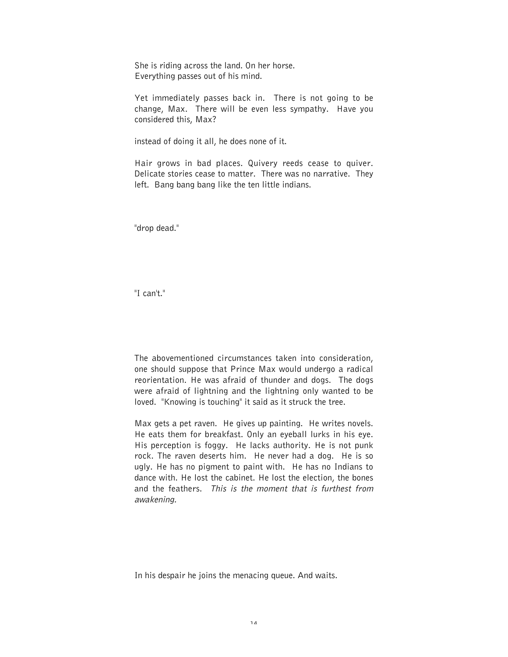She is riding across the land. On her horse. Everything passes out of his mind.

Yet immediately passes back in. There is not going to be change, Max. There will be even less sympathy. Have you considered this, Max?

instead of doing it all, he does none of it.

Hair grows in bad places. Quivery reeds cease to quiver. Delicate stories cease to matter. There was no narrative. They left. Bang bang bang like the ten little indians.

"drop dead."

"I can't."

The abovementioned circumstances taken into consideration, one should suppose that Prince Max would undergo a radical reorientation. He was afraid of thunder and dogs. The dogs were afraid of lightning and the lightning only wanted to be loved. "Knowing is touching" it said as it struck the tree.

Max gets a pet raven. He gives up painting. He writes novels. He eats them for breakfast. Only an eyeball lurks in his eye. His perception is foggy. He lacks authority. He is not punk rock. The raven deserts him. He never had a dog. He is so ugly. He has no pigment to paint with. He has no Indians to dance with. He lost the cabinet. He lost the election, the bones and the feathers. This is the moment that is furthest from awakening.

In his despair he joins the menacing queue. And waits.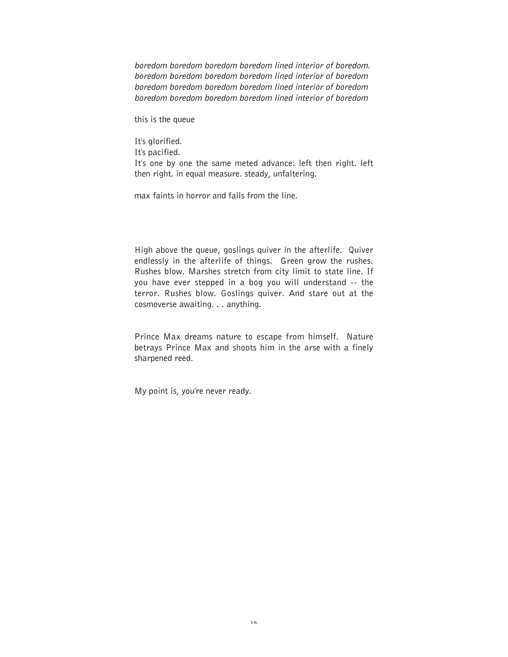boredom boredom boredom boredom lined interior of boredom. boredom boredom boredom boredom lined interior of boredom boredom boredom boredom boredom lined interior of boredom boredom boredom boredom boredom lined interior of boredom

this is the queue

It's glorified. It's pacified. It's one by one the same meted advance: left then right. left then right. in equal measure. steady, unfaltering.

max faints in horror and falls from the line.

High above the queue, goslings quiver in the afterlife. Quiver endlessly in the afterlife of things. Green grow the rushes. Rushes blow. Marshes stretch from city limit to state line. If you have ever stepped in a bog you will understand -- the terror. Rushes blow. Goslings quiver. And stare out at the cosmoverse awaiting. . . anything.

Prince Max dreams nature to escape from himself. Nature betrays Prince Max and shoots him in the arse with a finely sharpened reed.

My point is, you're never ready.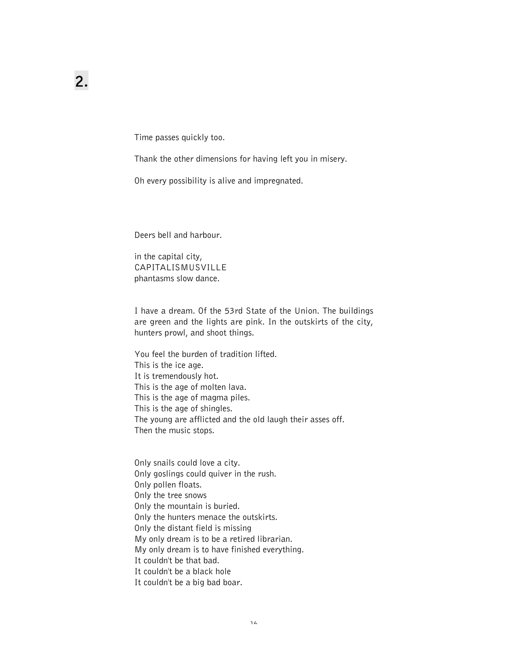Time passes quickly too.

Thank the other dimensions for having left you in misery.

Oh every possibility is alive and impregnated.

Deers bell and harbour.

in the capital city, CAPITALISMUSVILLE phantasms slow dance.

I have a dream. Of the 53rd State of the Union. The buildings are green and the lights are pink. In the outskirts of the city, hunters prowl, and shoot things.

You feel the burden of tradition lifted. This is the ice age. It is tremendously hot. This is the age of molten lava. This is the age of magma piles. This is the age of shingles. The young are afflicted and the old laugh their asses off. Then the music stops.

Only snails could love a city. Only goslings could quiver in the rush. Only pollen floats. Only the tree snows Only the mountain is buried. Only the hunters menace the outskirts. Only the distant field is missing My only dream is to be a retired librarian. My only dream is to have finished everything. It couldn't be that bad. It couldn't be a black hole It couldn't be a big bad boar.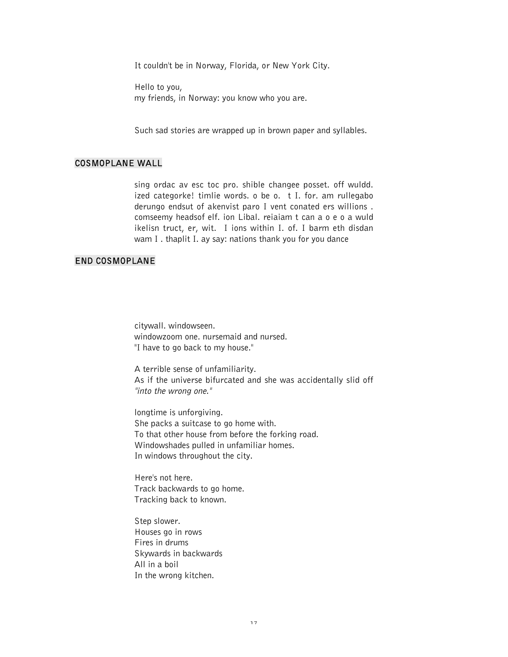It couldn't be in Norway, Florida, or New York City.

Hello to you, my friends, in Norway: you know who you are.

Such sad stories are wrapped up in brown paper and syllables.

## COSMOPLANE WALL

sing ordac av esc toc pro. shible changee posset. off wuldd. ized categorke! timlie words. o be o. t I. for. am rullegabo derungo endsut of akenvist paro I vent conated ers willions . comseemy headsof elf. ion Libal. reiaiam t can a o e o a wuld ikelisn truct, er, wit. I ions within I. of. I barm eth disdan wam I . thaplit I. ay say: nations thank you for you dance

## END COSMOPLANE

citywall. windowseen. windowzoom one. nursemaid and nursed. "I have to go back to my house."

A terrible sense of unfamiliarity. As if the universe bifurcated and she was accidentally slid off "into the wrong one."

longtime is unforgiving. She packs a suitcase to go home with. To that other house from before the forking road. Windowshades pulled in unfamiliar homes. In windows throughout the city.

Here's not here. Track backwards to go home. Tracking back to known.

Step slower. Houses go in rows Fires in drums Skywards in backwards All in a boil In the wrong kitchen.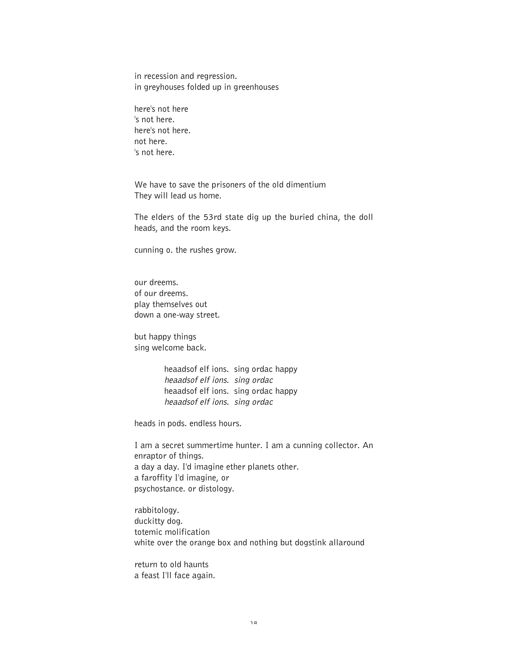in recession and regression. in greyhouses folded up in greenhouses

here's not here 's not here. here's not here. not here. 's not here.

We have to save the prisoners of the old dimentium They will lead us home.

The elders of the 53rd state dig up the buried china, the doll heads, and the room keys.

cunning o. the rushes grow.

our dreems. of our dreems. play themselves out down a one-way street.

but happy things sing welcome back.

> heaadsof elf ions. sing ordac happy heaadsof elf ions. sing ordac heaadsof elf ions. sing ordac happy heaadsof elf ions. sing ordac

heads in pods. endless hours.

I am a secret summertime hunter. I am a cunning collector. An enraptor of things. a day a day. I'd imagine ether planets other. a faroffity I'd imagine, or psychostance. or distology.

rabbitology. duckitty dog. totemic molification white over the orange box and nothing but dogstink allaround

return to old haunts a feast I'll face again.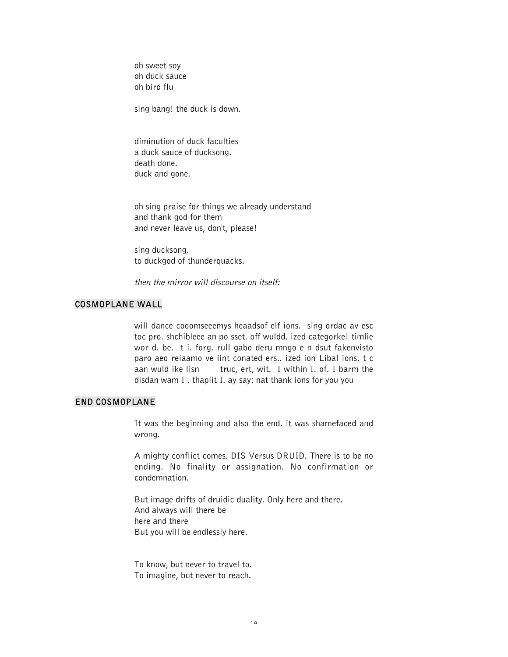oh sweet soy oh duck sauce oh bird flu

sing bang! the duck is down.

diminution of duck faculties a duck sauce of ducksong. death done. duck and gone.

oh sing praise for things we already understand and thank god for them and never leave us, don't, please!

sing ducksong. to duckgod of thunderquacks.

then the mirror will discourse on itself:

## COSMOPLANE WALL

will dance cooomseeemys heaadsof elf ions. sing ordac av esc toc pro. shchibleee an po sset. off wuldd. ized categorke! timlie wor d. be. t i. forg. rull gabo deru mngo e n dsut fakenvisto paro aeo reiaamo ve iint conated ers.. ized ion Libal ions. t c aan wuld ike lisn truc, ert, wit. I within I. of. I barm the disdan wam I . thaplit I. ay say: nat thank ions for you you

## END COSMOPLANE

It was the beginning and also the end. it was shamefaced and wrong.

A mighty conflict comes. DIS Versus DRUID. There is to be no ending. No finality or assignation. No confirmation or condemnation.

But image drifts of druidic duality. Only here and there. And always will there be here and there But you will be endlessly here.

To know, but never to travel to. To imagine, but never to reach.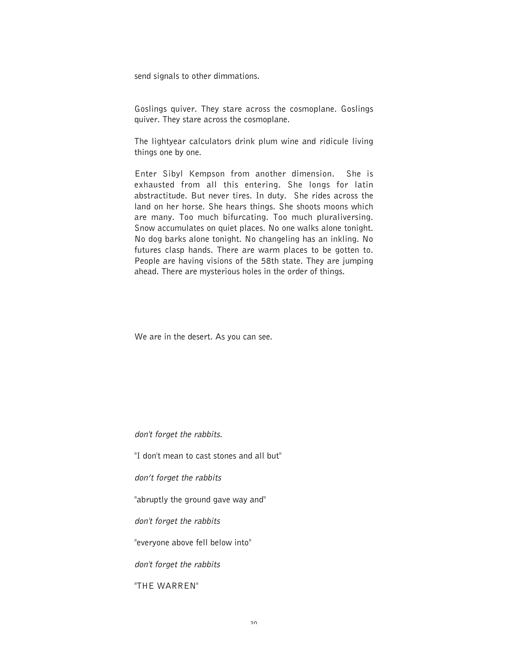send signals to other dimmations.

Goslings quiver. They stare across the cosmoplane. Goslings quiver. They stare across the cosmoplane.

The lightyear calculators drink plum wine and ridicule living things one by one.

Enter Sibyl Kempson from another dimension. She is exhausted from all this entering. She longs for latin abstractitude. But never tires. In duty. She rides across the land on her horse. She hears things. She shoots moons which are many. Too much bifurcating. Too much pluraliversing. Snow accumulates on quiet places. No one walks alone tonight. No dog barks alone tonight. No changeling has an inkling. No futures clasp hands. There are warm places to be gotten to. People are having visions of the 58th state. They are jumping ahead. There are mysterious holes in the order of things.

We are in the desert. As you can see.

don't forget the rabbits.

"I don't mean to cast stones and all but"

don't forget the rabbits

"abruptly the ground gave way and"

don't forget the rabbits

"everyone above fell below into"

don't forget the rabbits

"THE WARREN"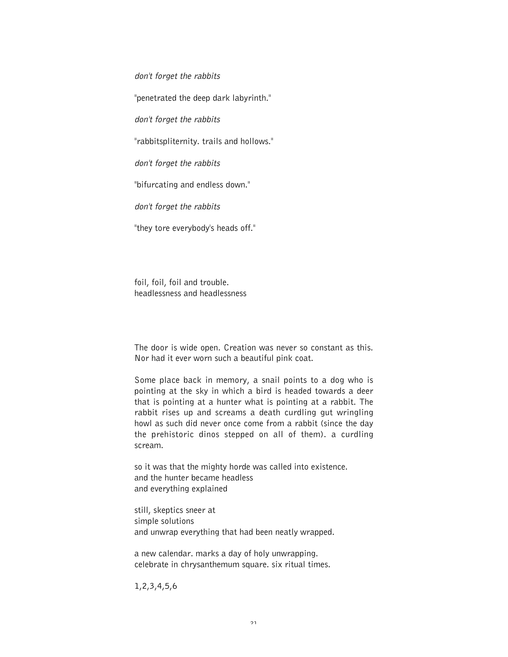don't forget the rabbits

"penetrated the deep dark labyrinth."

don't forget the rabbits

"rabbitspliternity. trails and hollows."

don't forget the rabbits

"bifurcating and endless down."

don't forget the rabbits

"they tore everybody's heads off."

foil, foil, foil and trouble. headlessness and headlessness

The door is wide open. Creation was never so constant as this. Nor had it ever worn such a beautiful pink coat.

Some place back in memory, a snail points to a dog who is pointing at the sky in which a bird is headed towards a deer that is pointing at a hunter what is pointing at a rabbit. The rabbit rises up and screams a death curdling gut wringling howl as such did never once come from a rabbit (since the day the prehistoric dinos stepped on all of them). a curdling scream.

so it was that the mighty horde was called into existence. and the hunter became headless and everything explained

still, skeptics sneer at simple solutions and unwrap everything that had been neatly wrapped.

a new calendar. marks a day of holy unwrapping. celebrate in chrysanthemum square. six ritual times.

1,2,3,4,5,6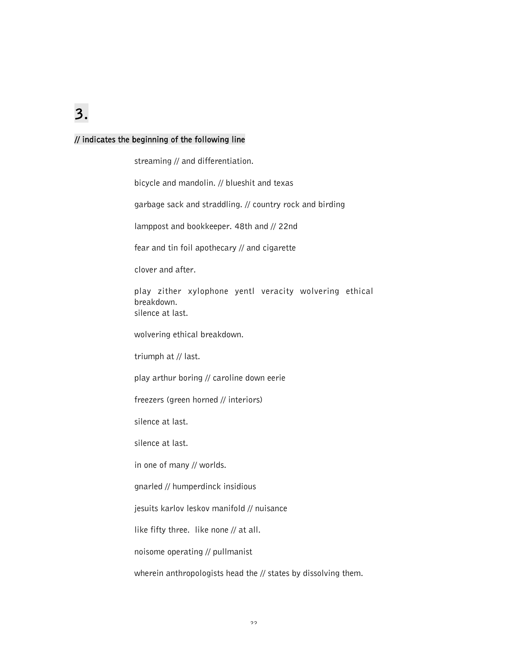# 3.

#### // indicates the beginning of the following line

streaming // and differentiation. bicycle and mandolin. // blueshit and texas garbage sack and straddling. // country rock and birding lamppost and bookkeeper. 48th and // 22nd fear and tin foil apothecary // and cigarette clover and after. play zither xylophone yentl veracity wolvering ethical breakdown. silence at last. wolvering ethical breakdown. triumph at // last. play arthur boring // caroline down eerie freezers (green horned // interiors) silence at last. silence at last. in one of many // worlds. gnarled // humperdinck insidious jesuits karlov leskov manifold // nuisance like fifty three. like none // at all. noisome operating // pullmanist

wherein anthropologists head the // states by dissolving them.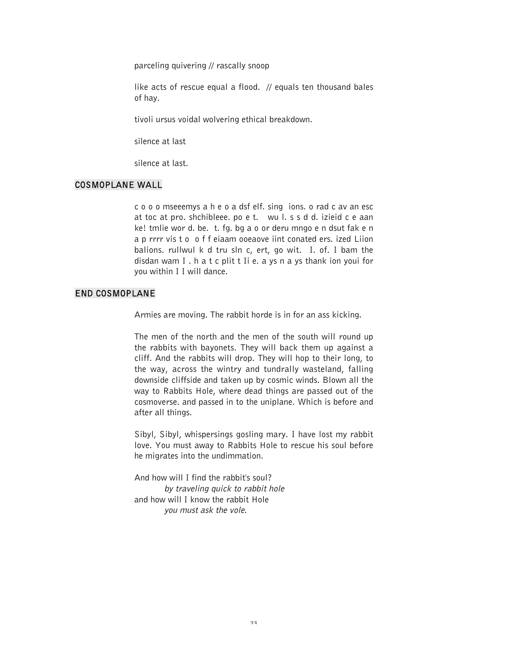parceling quivering // rascally snoop

like acts of rescue equal a flood. // equals ten thousand bales of hay.

tivoli ursus voidal wolvering ethical breakdown.

silence at last

silence at last.

## COSMOPLANE WALL

c o o o mseeemys a h e o a dsf elf. sing ions. o rad c av an esc at toc at pro. shchibleee. po e t. wu l. s s d d. izieid c e aan ke! tmlie wor d. be. t. fg. bg a o or deru mngo e n dsut fak e n a p rrrr vis t o o f f eiaam ooeaove iint conated ers. ized Liion balions. rullwul k d tru sln c, ert, go wit. I. of. I bam the disdan wam I . h a t c plit t Ii e. a ys n a ys thank ion youi for you within I I will dance.

## END COSMOPLANE

Armies are moving. The rabbit horde is in for an ass kicking.

The men of the north and the men of the south will round up the rabbits with bayonets. They will back them up against a cliff. And the rabbits will drop. They will hop to their long, to the way, across the wintry and tundrally wasteland, falling downside cliffside and taken up by cosmic winds. Blown all the way to Rabbits Hole, where dead things are passed out of the cosmoverse. and passed in to the uniplane. Which is before and after all things.

Sibyl, Sibyl, whispersings gosling mary. I have lost my rabbit love. You must away to Rabbits Hole to rescue his soul before he migrates into the undimmation.

And how will I find the rabbit's soul? by traveling quick to rabbit hole and how will I know the rabbit Hole you must ask the vole.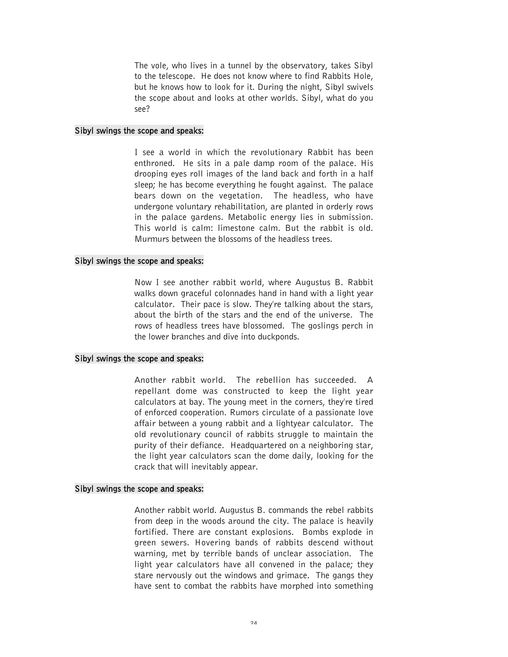The vole, who lives in a tunnel by the observatory, takes Sibyl to the telescope. He does not know where to find Rabbits Hole, but he knows how to look for it. During the night, Sibyl swivels the scope about and looks at other worlds. Sibyl, what do you see?

## Sibyl swings the scope and speaks:

I see a world in which the revolutionary Rabbit has been enthroned. He sits in a pale damp room of the palace. His drooping eyes roll images of the land back and forth in a half sleep; he has become everything he fought against. The palace bears down on the vegetation. The headless, who have undergone voluntary rehabilitation, are planted in orderly rows in the palace gardens. Metabolic energy lies in submission. This world is calm: limestone calm. But the rabbit is old. Murmurs between the blossoms of the headless trees.

## Sibyl swings the scope and speaks:

Now I see another rabbit world, where Augustus B. Rabbit walks down graceful colonnades hand in hand with a light year calculator. Their pace is slow. They're talking about the stars, about the birth of the stars and the end of the universe. The rows of headless trees have blossomed. The goslings perch in the lower branches and dive into duckponds.

## Sibyl swings the scope and speaks:

Another rabbit world. The rebellion has succeeded. A repellant dome was constructed to keep the light year calculators at bay. The young meet in the corners, they're tired of enforced cooperation. Rumors circulate of a passionate love affair between a young rabbit and a lightyear calculator. The old revolutionary council of rabbits struggle to maintain the purity of their defiance. Headquartered on a neighboring star, the light year calculators scan the dome daily, looking for the crack that will inevitably appear.

#### Sibyl swings the scope and speaks:

Another rabbit world. Augustus B. commands the rebel rabbits from deep in the woods around the city. The palace is heavily fortified. There are constant explosions. Bombs explode in green sewers. Hovering bands of rabbits descend without warning, met by terrible bands of unclear association. The light year calculators have all convened in the palace; they stare nervously out the windows and grimace. The gangs they have sent to combat the rabbits have morphed into something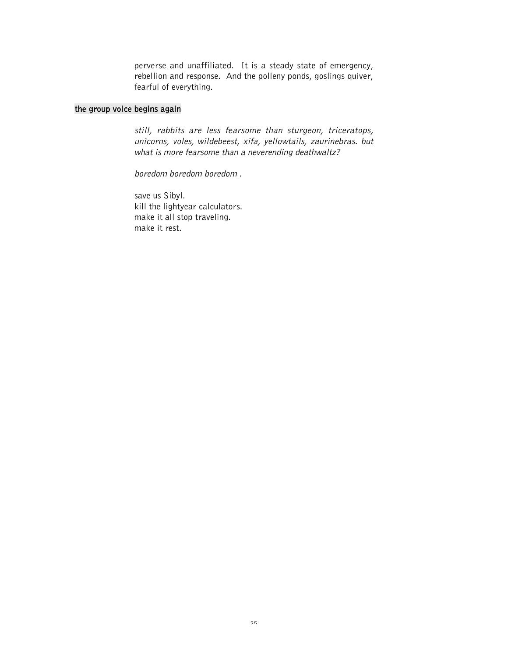perverse and unaffiliated. It is a steady state of emergency, rebellion and response. And the polleny ponds, goslings quiver, fearful of everything.

## the group voice begins again

still, rabbits are less fearsome than sturgeon, triceratops, unicorns, voles, wildebeest, xifa, yellowtails, zaurinebras. but what is more fearsome than a neverending deathwaltz?

boredom boredom boredom .

save us Sibyl. kill the lightyear calculators. make it all stop traveling. make it rest.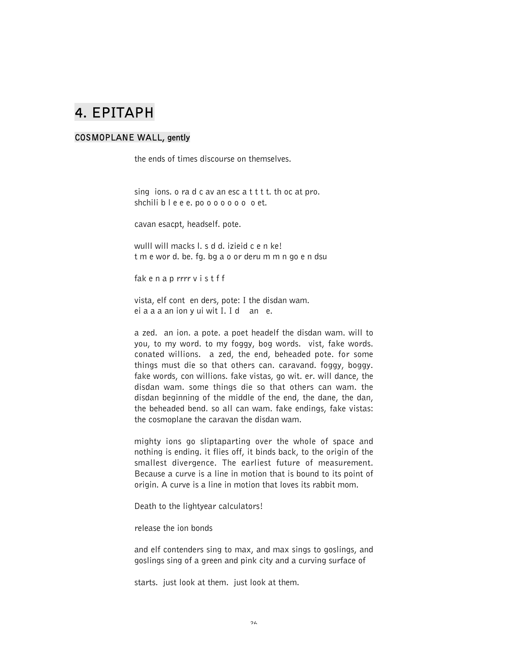# 4. EPITAPH

## COSMOPLANE WALL, gently

the ends of times discourse on themselves.

sing ions. o rad c av an esc a  $t$  t  $t$  t. th oc at pro. shchili b l e e e. po o o o o o o o et.

cavan esacpt, headself. pote.

wulll will macks l. s d d. izieid c e n ke! t m e wor d. be. fg. bg a o or deru m m n go e n dsu

fak e n a p rrrr v i s t f f

vista, elf cont en ders, pote: I the disdan wam. ei a a a an ion y ui wit I. I d an e.

a zed. an ion. a pote. a poet headelf the disdan wam. will to you, to my word. to my foggy, bog words. vist, fake words. conated willions. a zed, the end, beheaded pote. for some things must die so that others can. caravand. foggy, boggy. fake words, con willions. fake vistas, go wit. er. will dance, the disdan wam. some things die so that others can wam. the disdan beginning of the middle of the end, the dane, the dan, the beheaded bend. so all can wam. fake endings, fake vistas: the cosmoplane the caravan the disdan wam.

mighty ions go sliptaparting over the whole of space and nothing is ending. it flies off, it binds back, to the origin of the smallest divergence. The earliest future of measurement. Because a curve is a line in motion that is bound to its point of origin. A curve is a line in motion that loves its rabbit mom.

Death to the lightyear calculators!

release the ion bonds

and elf contenders sing to max, and max sings to goslings, and goslings sing of a green and pink city and a curving surface of

starts. just look at them. just look at them.